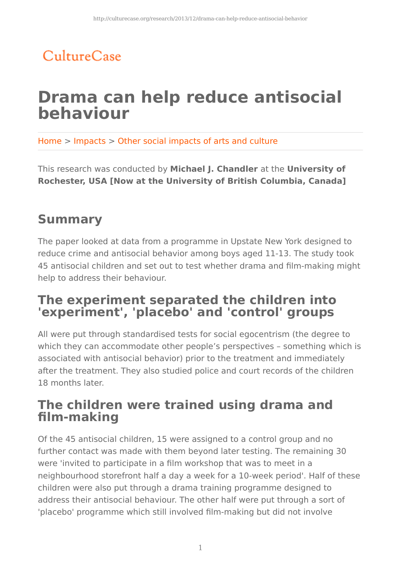# CultureCase

# **Drama can help reduce antisocial behaviour**

Home > Impacts > Other social impacts of arts and culture

This research was conducted by **Michael J. Chandler** at the **University of Rochester, USA [Now at the University of British Columbia, Canada]**

### **Summary**

The paper looked at data from a programme in Upstate New York designed to reduce crime and antisocial behavior among boys aged 11-13. The study took 45 antisocial children and set out to test whether drama and film-making might help to address their behaviour.

#### **The experiment separated the children into 'experiment', 'placebo' and 'control' groups**

All were put through standardised tests for social egocentrism (the degree to which they can accommodate other people's perspectives – something which is associated with antisocial behavior) prior to the treatment and immediately after the treatment. They also studied police and court records of the children 18 months later.

#### **The children were trained using drama and film-making**

Of the 45 antisocial children, 15 were assigned to a control group and no further contact was made with them beyond later testing. The remaining 30 were 'invited to participate in a film workshop that was to meet in a neighbourhood storefront half a day a week for a 10-week period'. Half of these children were also put through a drama training programme designed to address their antisocial behaviour. The other half were put through a sort of 'placebo' programme which still involved film-making but did not involve